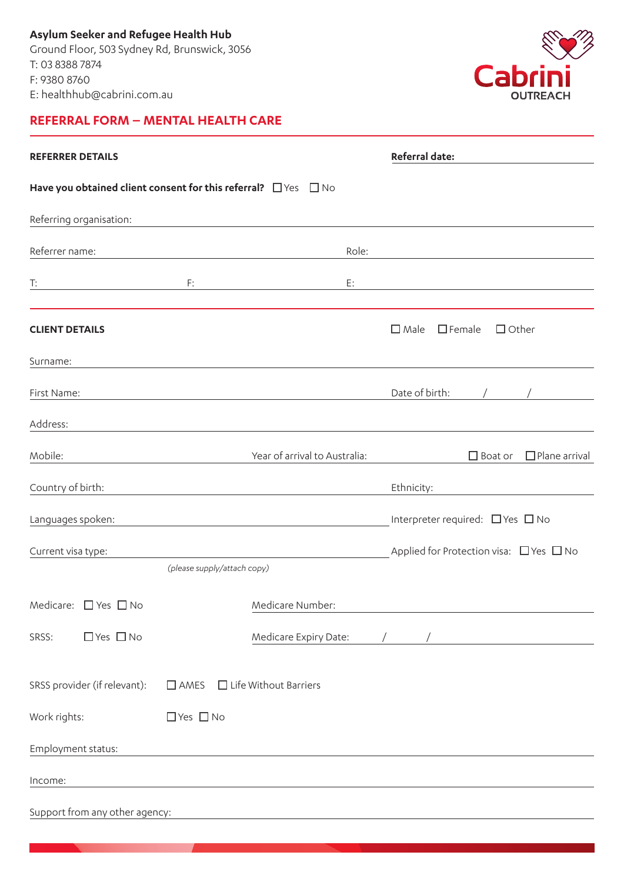**Asylum Seeker and Refugee Health Hub**  Ground Floor, 503 Sydney Rd, Brunswick, 3056 T: 03 8388 7874 F: 9380 8760 E: healthhub@cabrini.com.au

## **REFERRAL FORM – MENTAL HEALTH CARE**



| <b>REFERRER DETAILS</b>                                                  |                                          |                               | Referral date:                                                                                                       |
|--------------------------------------------------------------------------|------------------------------------------|-------------------------------|----------------------------------------------------------------------------------------------------------------------|
| Have you obtained client consent for this referral? $\Box$ Yes $\Box$ No |                                          |                               |                                                                                                                      |
| Referring organisation:                                                  |                                          |                               |                                                                                                                      |
| Referrer name:                                                           |                                          | Role:                         |                                                                                                                      |
| T:<br><u> 1980 - Johann Barn, mars an t-Amerikaansk ferske</u>           | F:                                       | E:                            |                                                                                                                      |
| <b>CLIENT DETAILS</b>                                                    |                                          |                               | $\square$ Male<br>$\Box$ Female<br>$\Box$ Other                                                                      |
| Surname:                                                                 |                                          |                               |                                                                                                                      |
| First Name:                                                              |                                          |                               | Date of birth:                                                                                                       |
| Address:                                                                 |                                          |                               |                                                                                                                      |
| Mobile:                                                                  |                                          | Year of arrival to Australia: | $\Box$ Plane arrival<br>$\Box$ Boat or                                                                               |
| Country of birth:                                                        |                                          |                               | Ethnicity:                                                                                                           |
| Languages spoken:                                                        |                                          |                               | Interpreter required: $\Box$ Yes $\Box$ No                                                                           |
| Current visa type:                                                       |                                          |                               | Applied for Protection visa: $\Box$ Yes $\Box$ No                                                                    |
|                                                                          | (please supply/attach copy)              |                               |                                                                                                                      |
| Medicare: $\Box$ Yes $\Box$ No                                           |                                          | Medicare Number:              |                                                                                                                      |
| $\Box$ Yes $\Box$ No<br>SRSS:                                            |                                          | Medicare Expiry Date:         | <u> 1980 - Jan Stein Stein Stein Stein Stein Stein Stein Stein Stein Stein Stein Stein Stein Stein Stein Stein S</u> |
| SRSS provider (if relevant):                                             | $\Box$ AMES $\Box$ Life Without Barriers |                               |                                                                                                                      |
| Work rights:                                                             | $\Box$ Yes $\Box$ No                     |                               |                                                                                                                      |
| Employment status:                                                       |                                          |                               |                                                                                                                      |
| Income:                                                                  |                                          |                               |                                                                                                                      |
| Support from any other agency:                                           |                                          |                               |                                                                                                                      |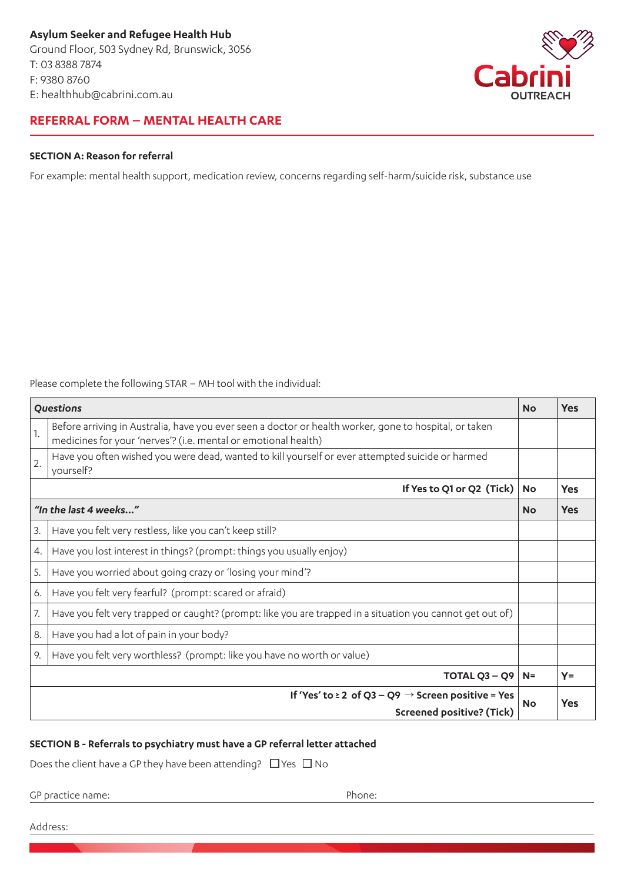**Asylum Seeker and Refugee Health Hub**  Ground Floor, 503 Sydney Rd, Brunswick, 3056 T: 03 8388 7874 F: 9380 8760 E: healthhub@cabrini.com.au



### **REFERRAL FORM – MENTAL HEALTH CARE**

#### **SECTION A: Reason for referral**

For example: mental health support, medication review, concerns regarding self-harm/suicide risk, substance use

Please complete the following STAR – MH tool with the individual:

| Questions                                                                                               |                                                                                                                                                                          |           | <b>Yes</b> |
|---------------------------------------------------------------------------------------------------------|--------------------------------------------------------------------------------------------------------------------------------------------------------------------------|-----------|------------|
| 1.                                                                                                      | Before arriving in Australia, have you ever seen a doctor or health worker, gone to hospital, or taken<br>medicines for your 'nerves'? (i.e. mental or emotional health) |           |            |
| 2.                                                                                                      | Have you often wished you were dead, wanted to kill yourself or ever attempted suicide or harmed<br>yourself?                                                            |           |            |
| If Yes to Q1 or Q2 (Tick)                                                                               |                                                                                                                                                                          |           | <b>Yes</b> |
| "In the last 4 weeks"                                                                                   |                                                                                                                                                                          | <b>No</b> | <b>Yes</b> |
| 3.                                                                                                      | Have you felt very restless, like you can't keep still?                                                                                                                  |           |            |
| 4.                                                                                                      | Have you lost interest in things? (prompt: things you usually enjoy)                                                                                                     |           |            |
| 5.                                                                                                      | Have you worried about going crazy or 'losing your mind'?                                                                                                                |           |            |
| 6.                                                                                                      | Have you felt very fearful? (prompt: scared or afraid)                                                                                                                   |           |            |
| 7.                                                                                                      | Have you felt very trapped or caught? (prompt: like you are trapped in a situation you cannot get out of)                                                                |           |            |
| 8.                                                                                                      | Have you had a lot of pain in your body?                                                                                                                                 |           |            |
| 9.                                                                                                      | Have you felt very worthless? (prompt: like you have no worth or value)                                                                                                  |           |            |
| TOTAL $Q3 - Q9$                                                                                         |                                                                                                                                                                          |           | $Y =$      |
| If 'Yes' to $\geq 2$ of Q3 – Q9 $\rightarrow$ Screen positive = Yes<br><b>Screened positive? (Tick)</b> |                                                                                                                                                                          |           | <b>Yes</b> |

#### **SECTION B - Referrals to psychiatry must have a GP referral letter attached**

Does the client have a GP they have been attending?  $\Box$  Yes  $\Box$  No

GP practice name:  $\blacksquare$ 

Address: